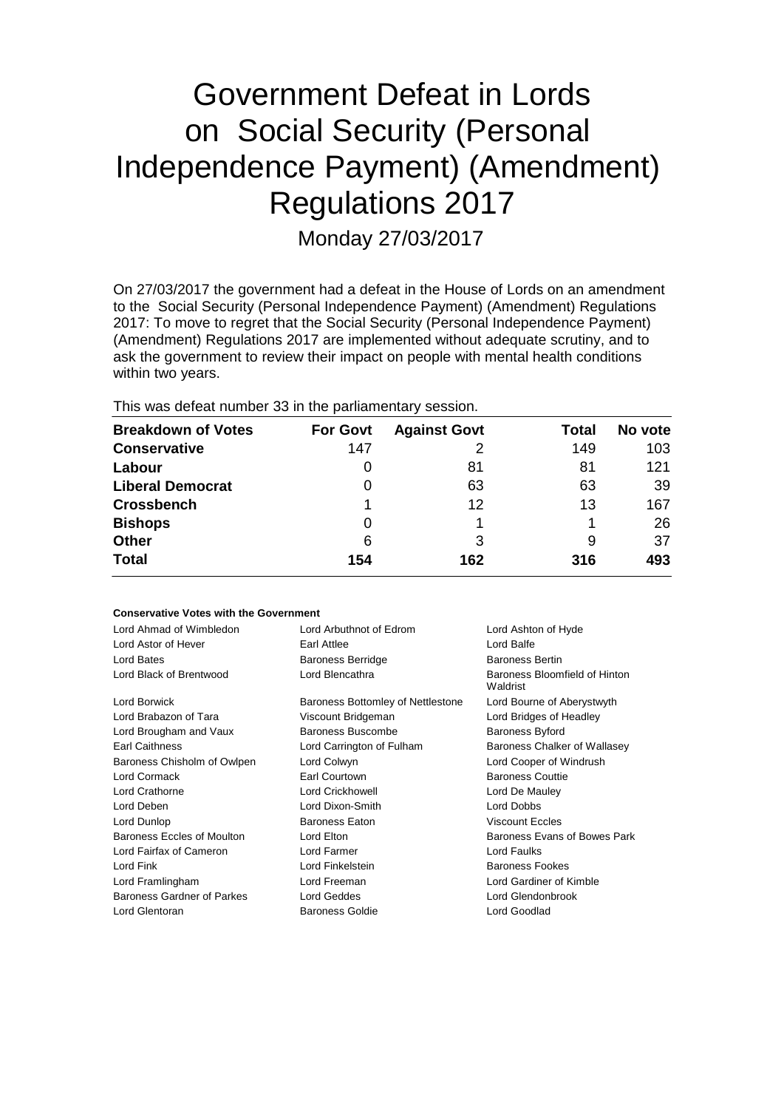# Government Defeat in Lords on Social Security (Personal Independence Payment) (Amendment) Regulations 2017

Monday 27/03/2017

On 27/03/2017 the government had a defeat in the House of Lords on an amendment to the Social Security (Personal Independence Payment) (Amendment) Regulations 2017: To move to regret that the Social Security (Personal Independence Payment) (Amendment) Regulations 2017 are implemented without adequate scrutiny, and to ask the government to review their impact on people with mental health conditions within two years.

This was defeat number 33 in the parliamentary session.

| <b>Breakdown of Votes</b> | <b>For Govt</b> | <b>Against Govt</b> | Total | No vote |
|---------------------------|-----------------|---------------------|-------|---------|
| <b>Conservative</b>       | 147             |                     | 149   | 103     |
| Labour                    | 0               | 81                  | 81    | 121     |
| <b>Liberal Democrat</b>   | 0               | 63                  | 63    | 39      |
| <b>Crossbench</b>         |                 | 12                  | 13    | 167     |
| <b>Bishops</b>            | 0               |                     |       | 26      |
| <b>Other</b>              | 6               | 3                   | 9     | 37      |
| <b>Total</b>              | 154             | 162                 | 316   | 493     |

#### **Conservative Votes with the Government**

| Lord Ahmad of Wimbledon<br>Lord Astor of Hever<br>Lord Bates | Lord Arbuthnot of Edrom<br>Earl Attlee<br><b>Baroness Berridge</b> | Lord Ashton of Hyde<br>Lord Balfe<br><b>Baroness Bertin</b> |  |
|--------------------------------------------------------------|--------------------------------------------------------------------|-------------------------------------------------------------|--|
| Lord Black of Brentwood                                      | Lord Blencathra                                                    | Baroness Bloomfield of Hinton<br>Waldrist                   |  |
| Lord Borwick                                                 | Baroness Bottomley of Nettlestone                                  | Lord Bourne of Aberystwyth                                  |  |
| Lord Brabazon of Tara                                        | Viscount Bridgeman                                                 | Lord Bridges of Headley                                     |  |
| Lord Brougham and Vaux                                       | Baroness Buscombe                                                  | <b>Baroness Byford</b>                                      |  |
| <b>Earl Caithness</b>                                        | Lord Carrington of Fulham                                          | Baroness Chalker of Wallasey                                |  |
| Baroness Chisholm of Owlpen                                  | Lord Colwyn                                                        | Lord Cooper of Windrush                                     |  |
| Lord Cormack                                                 | Earl Courtown                                                      | <b>Baroness Couttie</b>                                     |  |
| <b>Lord Crathorne</b>                                        | <b>Lord Crickhowell</b>                                            | Lord De Mauley                                              |  |
| Lord Deben                                                   | Lord Dixon-Smith                                                   | Lord Dobbs                                                  |  |
| Lord Dunlop                                                  | <b>Baroness Eaton</b>                                              | <b>Viscount Eccles</b>                                      |  |
| Baroness Eccles of Moulton                                   | Lord Elton                                                         | Baroness Evans of Bowes Park                                |  |
| Lord Fairfax of Cameron                                      | Lord Farmer                                                        | Lord Faulks                                                 |  |
| Lord Fink                                                    | Lord Finkelstein                                                   | <b>Baroness Fookes</b>                                      |  |
| Lord Framlingham                                             | Lord Freeman                                                       | Lord Gardiner of Kimble                                     |  |
| Baroness Gardner of Parkes                                   | Lord Geddes                                                        | Lord Glendonbrook                                           |  |
| Lord Glentoran                                               | <b>Baroness Goldie</b>                                             | Lord Goodlad                                                |  |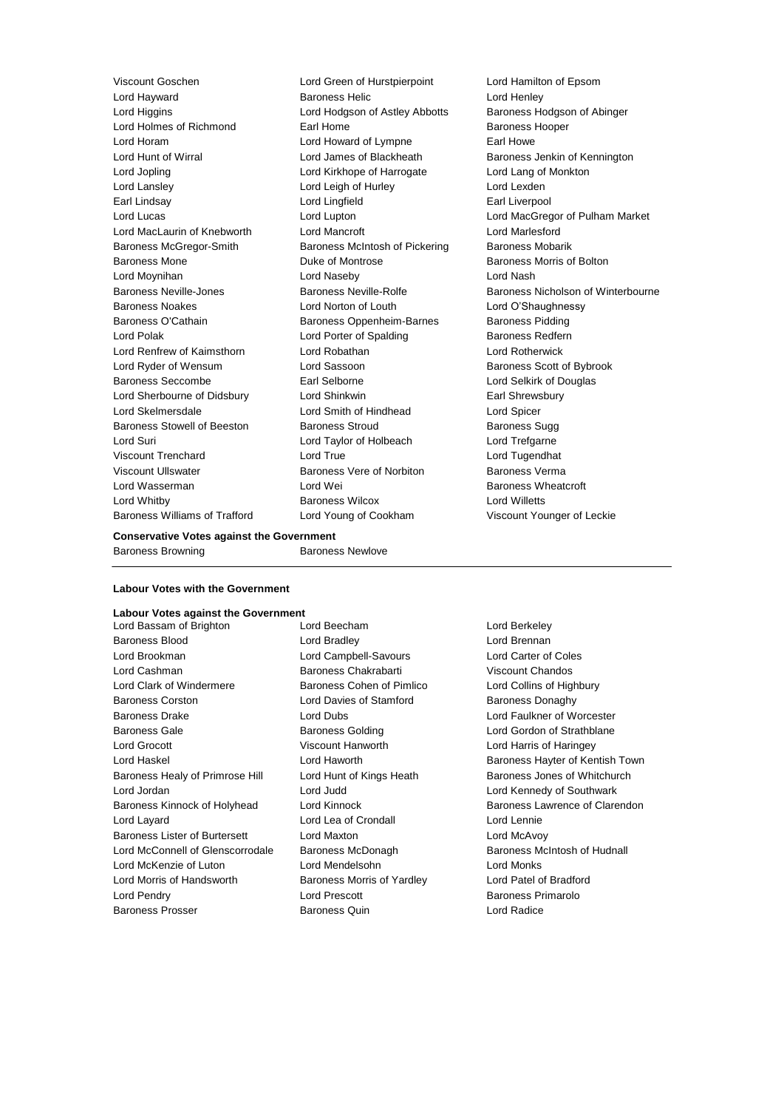**Lord Hayward Communist Communist Baroness Helic Communist Communist Communist Communist Communist Communist Co** Lord Higgins Lord Hodgson of Astley Abbotts Baroness Hodgson of Abinger Lord Holmes of Richmond Earl Home Earl Home Baroness Hooper Lord Horam Lord Howard of Lympne Earl Howe Lord Hunt of Wirral **Lord James of Blackheath** Baroness Jenkin of Kennington Lord Jopling Lord Kirkhope of Harrogate Lord Lang of Monkton Lord Lansley **Lord Leigh of Hurley** Lord Lexden Earl Lindsay **Lord Lingfield** Earl Liverpool Lord MacLaurin of Knebworth Lord Mancroft Lord Marlesford Baroness McGregor-Smith Baroness McIntosh of Pickering Baroness Mobarik Baroness Mone **Baroness Mone Duke of Montrose Baroness Morris of Bolton** Lord Moynihan Lord Naseby Lord Nash Baroness Noakes Lord Norton of Louth Lord O'Shaughnessy Baroness O'Cathain **Baroness Oppenheim-Barnes** Baroness Pidding Lord Polak **Lord Porter of Spalding Baroness Redfern** Lord Renfrew of Kaimsthorn Lord Robathan Lord Rotherwick Lord Ryder of Wensum **Lord Sassoon** Baroness Scott of Bybrook Baroness Seccombe **Earl Selborne Earl Selborne Lord Selkirk of Douglas** Lord Sherbourne of Didsbury Lord Shinkwin **Earl Shinkwin** Earl Shrewsbury Lord Skelmersdale Lord Smith of Hindhead Lord Spicer Baroness Stowell of Beeston Baroness Stroud Baroness Sugg Lord Suri Lord Taylor of Holbeach Lord Trefgarne Viscount Trenchard Lord True Lord Tugendhat Viscount Ullswater Baroness Vere of Norbiton Baroness Verma Lord Wasserman Lord Wei Baroness Wheatcroft Lord Whitby Baroness Wilcox Lord Willetts Baroness Williams of Trafford Lord Young of Cookham Viscount Younger of Leckie

Viscount Goschen Lord Green of Hurstpierpoint Lord Hamilton of Epsom

Lord Lucas Lord Lupton Lord MacGregor of Pulham Market Baroness Neville-Jones Baroness Neville-Rolfe Baroness Nicholson of Winterbourne

#### **Conservative Votes against the Government**

Baroness Browning Baroness Newlove

# **Labour Votes with the Government**

# **Labour Votes against the Government**

Baroness Blood Lord Bradley Lord Brennan Lord Brookman Lord Campbell-Savours Lord Carter of Coles Lord Cashman Baroness Chakrabarti Viscount Chandos Lord Clark of Windermere **Baroness Cohen of Pimlico** Lord Collins of Highbury Baroness Corston Lord Davies of Stamford Baroness Donaghy Baroness Drake Lord Dubs Lord Faulkner of Worcester Baroness Gale **Baroness Golding Baroness Golding Lord Gordon of Strathblane** Lord Grocott Viscount Hanworth Lord Harris of Haringey Baroness Healy of Primrose Hill Lord Hunt of Kings Heath Baroness Jones of Whitchurch Lord Jordan Lord Judd Lord Kennedy of Southwark Lord Layard Lord Lea of Crondall Lord Lennie Baroness Lister of Burtersett Lord Maxton Lord McAvoy Lord McConnell of Glenscorrodale Baroness McDonagh Baroness McRonagh Baroness McIntosh of Hudnall Lord McKenzie of Luton Lord Mendelsohn Lord Monks Lord Morris of Handsworth Baroness Morris of Yardley Lord Patel of Bradford Lord Pendry Lord Prescott Baroness Primarolo Baroness Prosser Baroness Quin Lord Radice

Lord Bassam of Brighton Lord Beecham Lord Berkeley

Lord Haskel **Lord Haworth Baroness Hayter of Kentish Town** Baroness Kinnock of Holyhead Lord Kinnock Baroness Lawrence of Clarendon